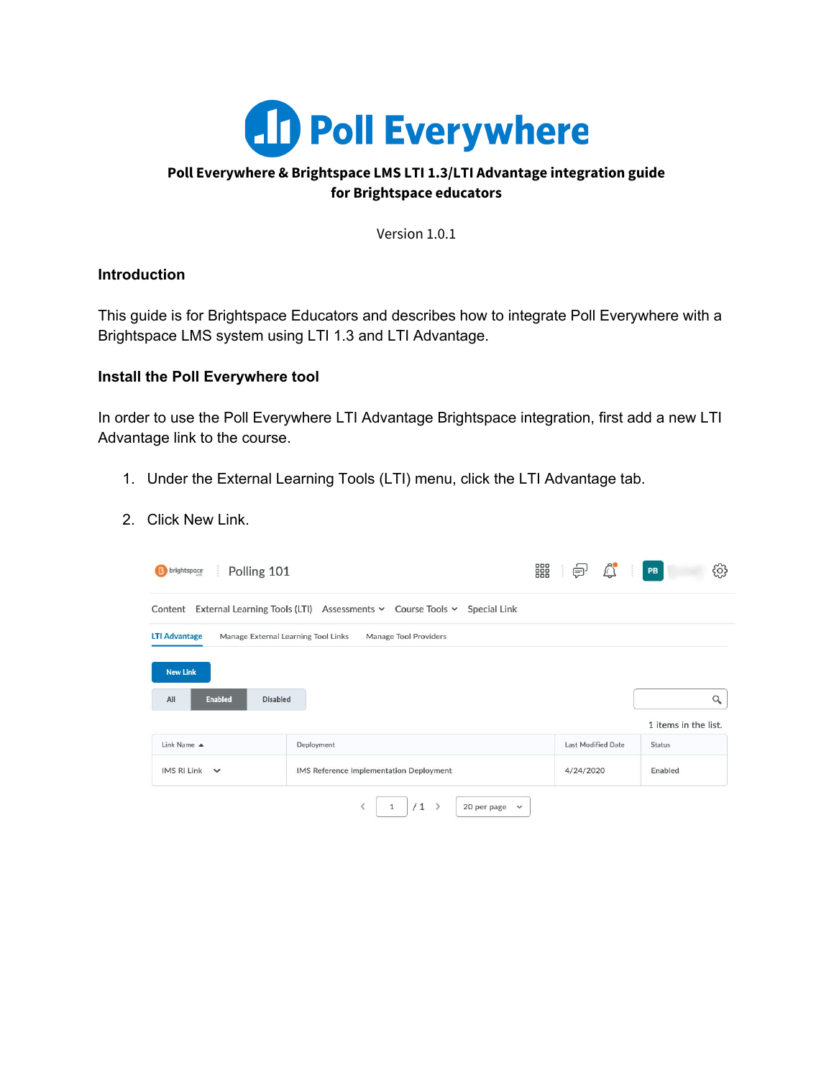

## **Poll Everywhere & Brightspace LMS LTI 1.3/LTI Advantage integration guide for Brightspace educators**

Version 1.0.1

### **Introduction**

This guide is for Brightspace Educators and describes how to integrate Poll Everywhere with a Brightspace LMS system using LTI 1.3 and LTI Advantage.

### **Install the Poll Everywhere tool**

In order to use the Poll Everywhere LTI Advantage Brightspace integration, first add a new LTI Advantage link to the course.

- 1. Under the External Learning Tools (LTI) menu, click the LTI Advantage tab.
- 2. Click New Link.

| Polling 101<br><b>B</b> brightspace                         |                                                                                    | 器<br><br>⊜                | සූ<br>PB             |
|-------------------------------------------------------------|------------------------------------------------------------------------------------|---------------------------|----------------------|
|                                                             | Content External Learning Tools (LTI) Assessments v Course Tools v<br>Special Link |                           |                      |
| <b>LTI Advantage</b><br>Manage External Learning Tool Links | Manage Tool Providers                                                              |                           |                      |
| <b>New Link</b>                                             |                                                                                    |                           |                      |
| All<br><b>Enabled</b><br><b>Disabled</b>                    |                                                                                    |                           | Q                    |
|                                                             |                                                                                    |                           | 1 items in the list. |
| Link Name A                                                 | Deployment                                                                         | <b>Last Modified Date</b> | <b>Status</b>        |
| IMS RI Link $\vee$                                          | IMS Reference Implementation Deployment                                            | 4/24/2020                 | Enabled              |
|                                                             | /1<br>$\mathbf{1}$<br>$\rightarrow$<br>20 per page $\sim$                          |                           |                      |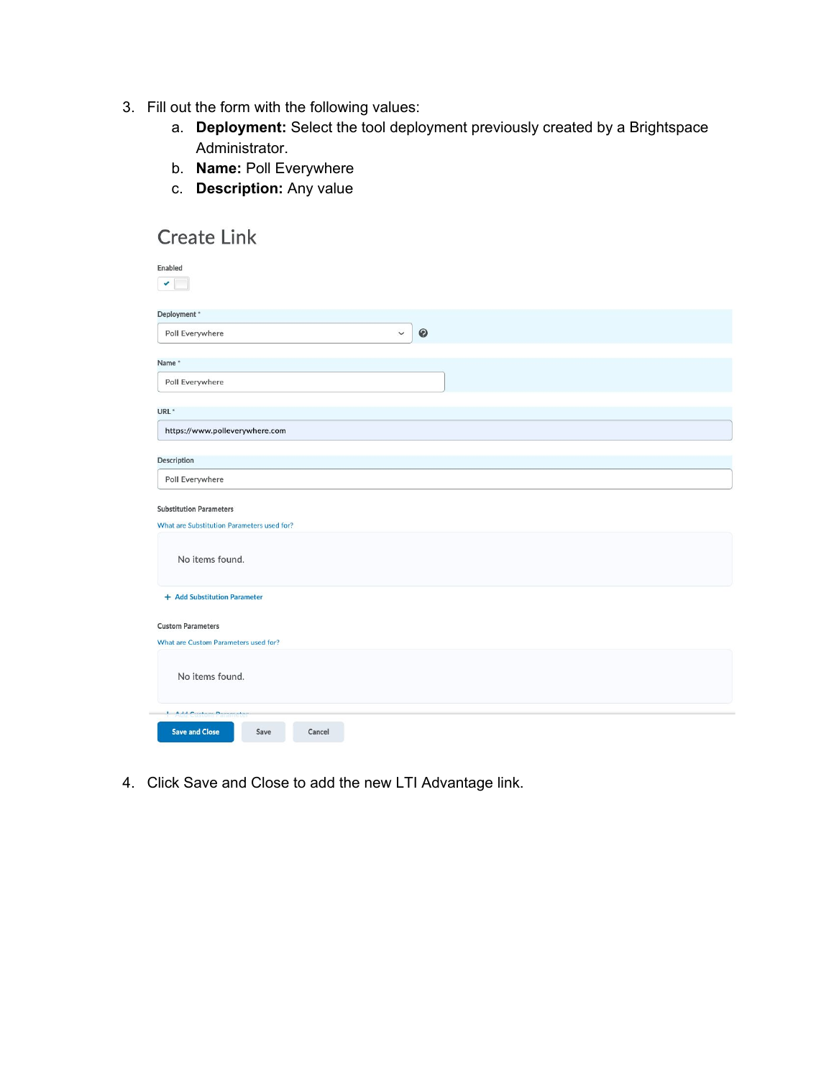- 3. Fill out the form with the following values:
	- a. **Deployment:** Select the tool deployment previously created by a Brightspace Administrator.
	- b. **Name:** Poll Everywhere
	- c. **Description:** Any value

| <b>Create Link</b>                                                                              |                          |  |
|-------------------------------------------------------------------------------------------------|--------------------------|--|
| Enabled                                                                                         |                          |  |
| v                                                                                               |                          |  |
| Deployment*                                                                                     |                          |  |
| Poll Everywhere                                                                                 | $\bullet$<br>$\check{~}$ |  |
| Name*                                                                                           |                          |  |
| Poll Everywhere                                                                                 |                          |  |
| URL <sup>*</sup>                                                                                |                          |  |
| https://www.polleverywhere.com                                                                  |                          |  |
| Description                                                                                     |                          |  |
| Poll Everywhere                                                                                 |                          |  |
| <b>Substitution Parameters</b><br>What are Substitution Parameters used for?<br>No items found. |                          |  |
| + Add Substitution Parameter                                                                    |                          |  |
| <b>Custom Parameters</b>                                                                        |                          |  |
| What are Custom Parameters used for?                                                            |                          |  |
| No items found.                                                                                 |                          |  |
| <b>L. Add Contains Demonstrat</b>                                                               |                          |  |
| <b>Save and Close</b><br>Save<br>Cancel                                                         |                          |  |

4. Click Save and Close to add the new LTI Advantage link.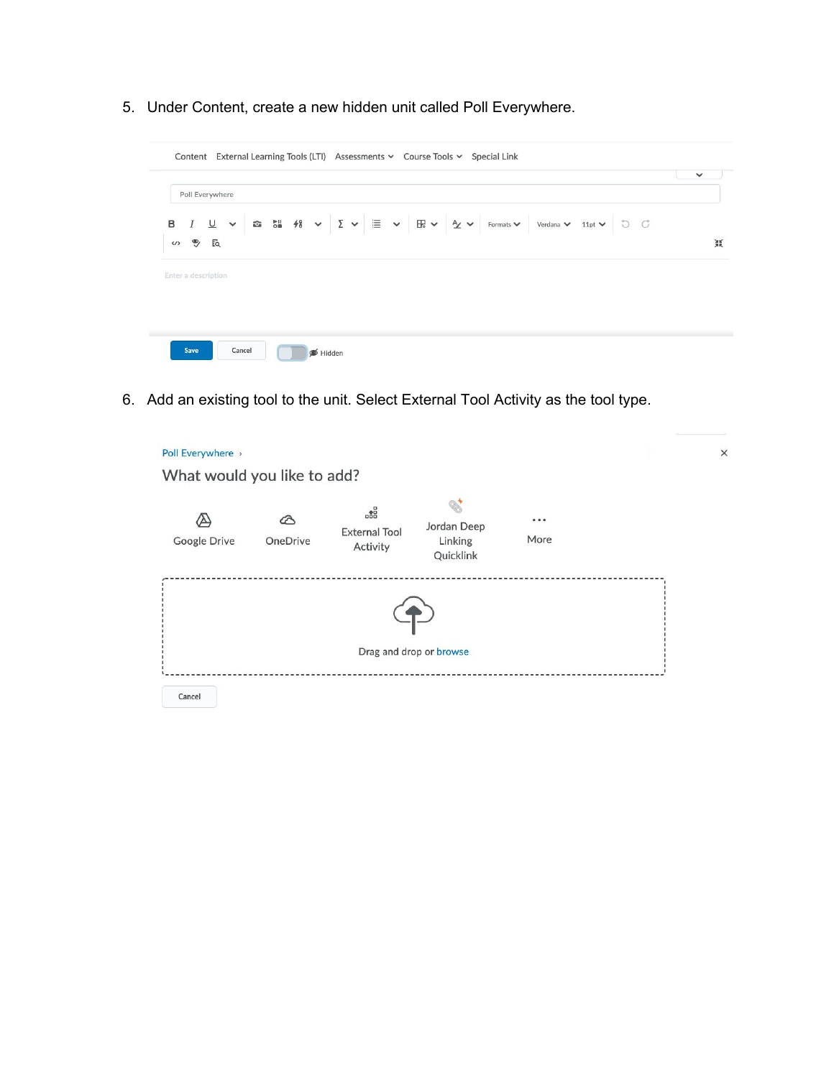5. Under Content, create a new hidden unit called Poll Everywhere.

| Poll Everywhere                       |  |                                                                                                                                                                                                                                                                                                                                                                                                    |  |
|---------------------------------------|--|----------------------------------------------------------------------------------------------------------------------------------------------------------------------------------------------------------------------------------------------------------------------------------------------------------------------------------------------------------------------------------------------------|--|
| в                                     |  | $I \perp \vee$ $\circ$ $\circ$ $\parallel$ $\qquad$ $\parallel$ $\vee$ $\parallel$ $\vee$ $\parallel$ $\parallel$ $\vee$ $\parallel$ $\vee$ $\parallel$ $\vee$ $\parallel$ $\vee$ $\parallel$ $\vee$ $\parallel$ $\vee$ $\parallel$ $\vee$ $\parallel$ $\vee$ $\parallel$ $\vee$ $\parallel$ $\vee$ $\parallel$ $\vee$ $\parallel$ $\vee$ $\parallel$ $\vee$ $\parallel$ $\vee$ $\parallel$ $\vee$ |  |
| $\mathcal{D}$ Eq<br>$\langle \rangle$ |  |                                                                                                                                                                                                                                                                                                                                                                                                    |  |
|                                       |  |                                                                                                                                                                                                                                                                                                                                                                                                    |  |
| Enter a description                   |  |                                                                                                                                                                                                                                                                                                                                                                                                    |  |
|                                       |  |                                                                                                                                                                                                                                                                                                                                                                                                    |  |
|                                       |  |                                                                                                                                                                                                                                                                                                                                                                                                    |  |

6. Add an existing tool to the unit. Select External Tool Activity as the tool type.

| Poll Everywhere ><br>What would you like to add? |          |                                                     |                                     |                                                                        | × |
|--------------------------------------------------|----------|-----------------------------------------------------|-------------------------------------|------------------------------------------------------------------------|---|
| Google Drive                                     | OneDrive | $\frac{1}{600}$<br><b>External Tool</b><br>Activity | Jordan Deep<br>Linking<br>Quicklink | $\begin{array}{ccc}\n\bullet & \bullet & \bullet\n\end{array}$<br>More |   |
|                                                  |          |                                                     | Drag and drop or browse             |                                                                        |   |
| Cancel                                           |          |                                                     |                                     |                                                                        |   |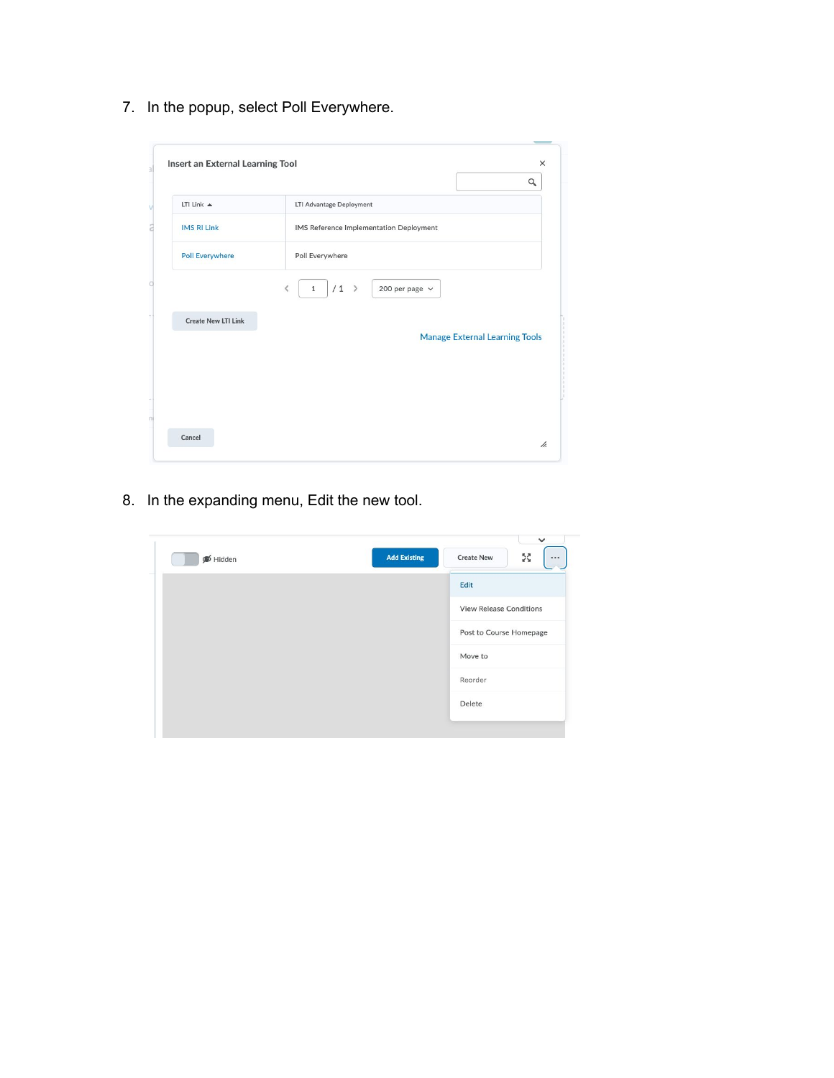7. In the popup, select Poll Everywhere.

| Insert an External Learning Tool | $\times$<br>Q                           |
|----------------------------------|-----------------------------------------|
| LTI Link $\triangle$             | LTI Advantage Deployment                |
| <b>IMS RI Link</b>               | IMS Reference Implementation Deployment |
| <b>Poll Everywhere</b>           | Poll Everywhere                         |
| <b>Create New LTI Link</b>       | <b>Manage External Learning Tools</b>   |
| Cancel                           |                                         |

8. In the expanding menu, Edit the new tool.

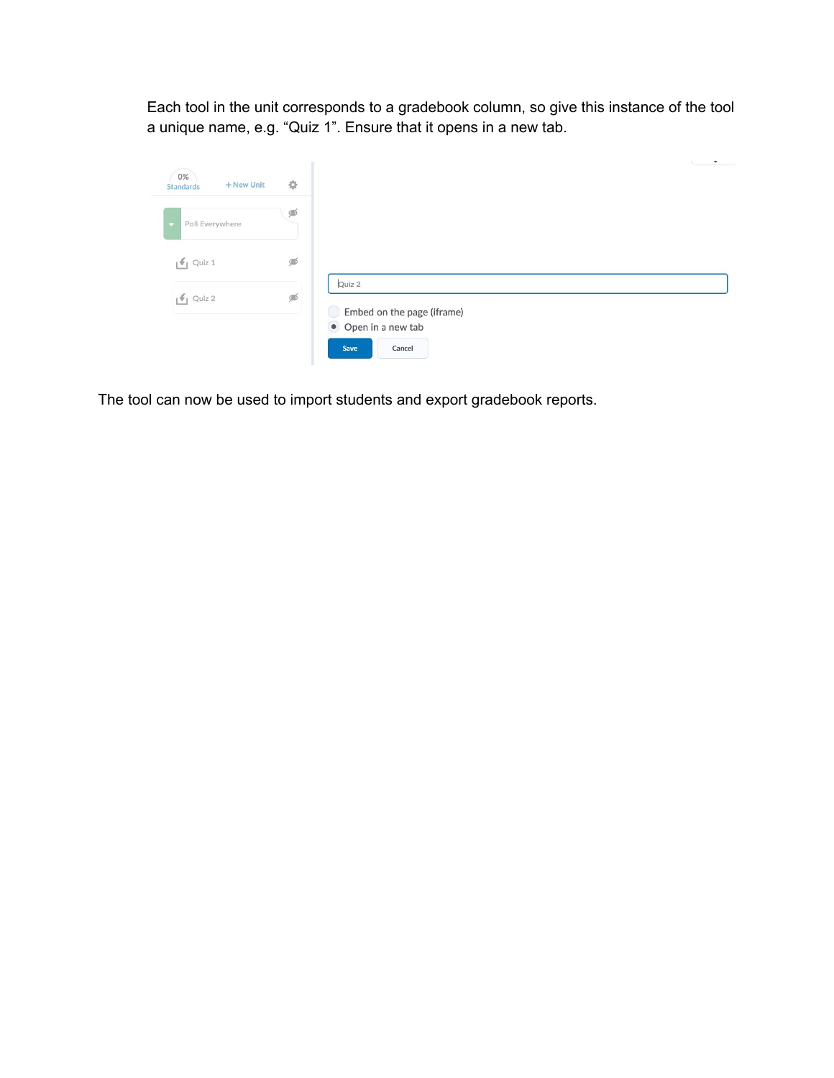Each tool in the unit corresponds to a gradebook column, so give this instance of the tool a unique name, e.g. "Quiz 1". Ensure that it opens in a new tab.

| 0%<br>+ New Unit<br><b>Standards</b> | 券 |                                      | $\overline{\phantom{a}}$ |
|--------------------------------------|---|--------------------------------------|--------------------------|
| Poll Everywhere                      | ⊛ |                                      |                          |
| $\bigcirc$ Quiz 1                    | ≸ |                                      |                          |
| $\sqrt{q}$ Quiz 2                    | Ø | Quiz 2<br>Embed on the page (iframe) |                          |
|                                      |   | Open in a new tab<br>Save<br>Cancel  |                          |

The tool can now be used to import students and export gradebook reports.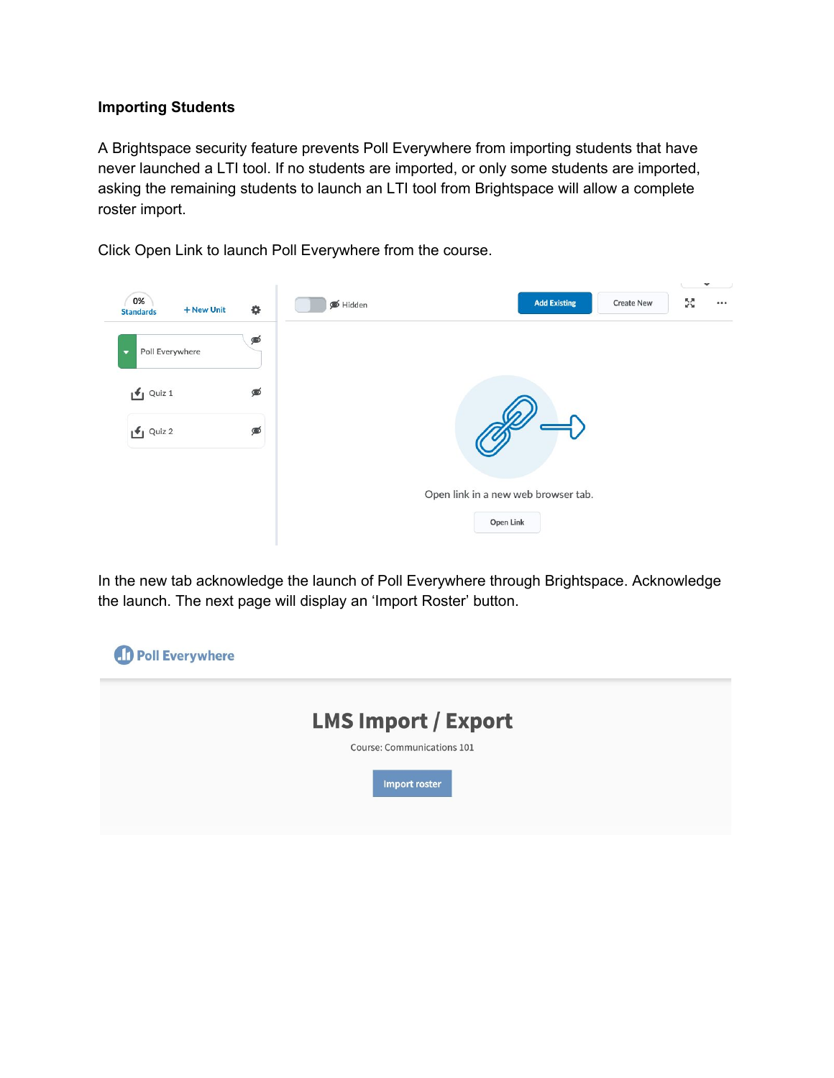### **Importing Students**

A Brightspace security feature prevents Poll Everywhere from importing students that have never launched a LTI tool. If no students are imported, or only some students are imported, asking the remaining students to launch an LTI tool from Brightspace will allow a complete roster import.

Click Open Link to launch Poll Everywhere from the course.



In the new tab acknowledge the launch of Poll Everywhere through Brightspace. Acknowledge the launch. The next page will display an 'Import Roster' button.

| <b>D</b> Poll Everywhere |                                             |  |
|--------------------------|---------------------------------------------|--|
|                          | <b>LMS Import / Export</b>                  |  |
|                          | Course: Communications 101<br>Import roster |  |
|                          |                                             |  |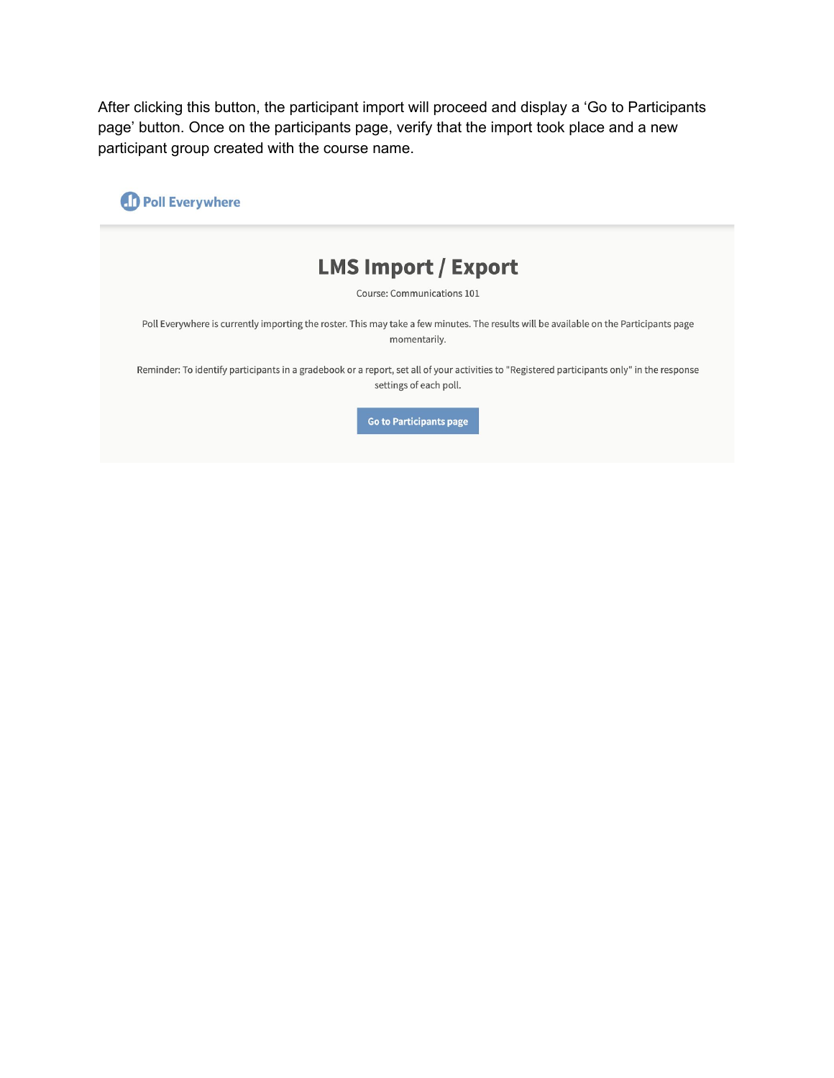After clicking this button, the participant import will proceed and display a 'Go to Participants page' button. Once on the participants page, verify that the import took place and a new participant group created with the course name.

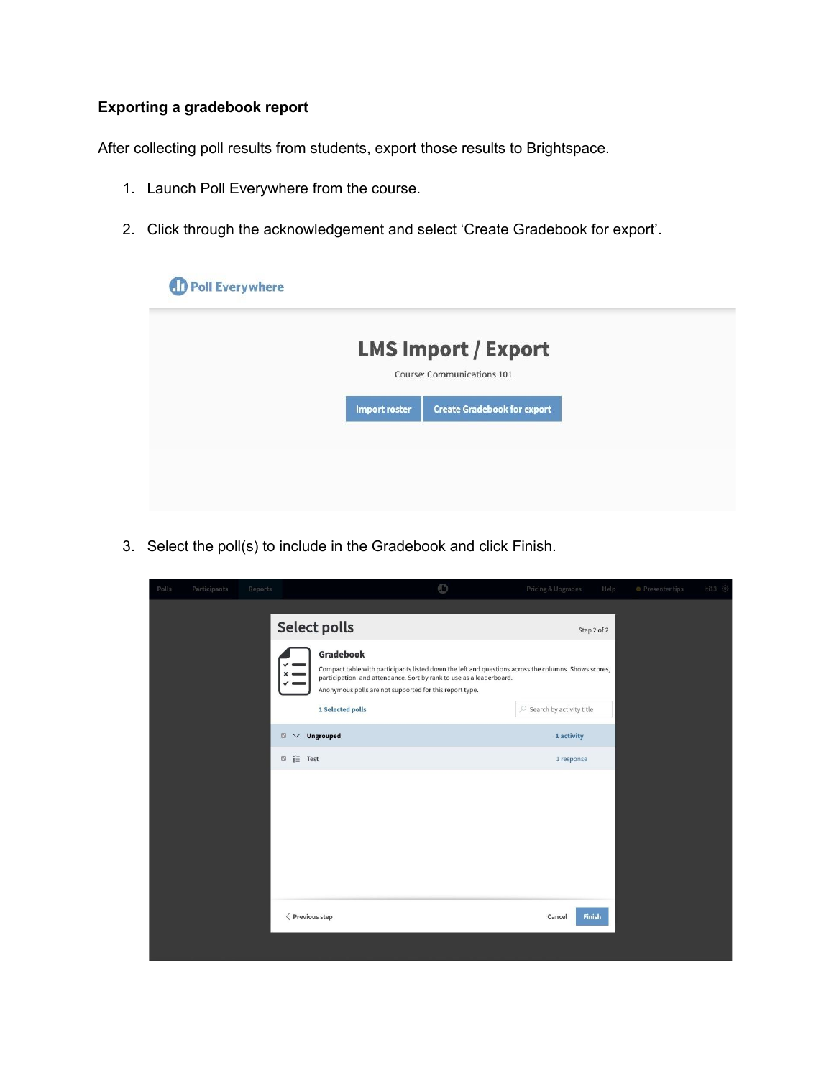# **Exporting a gradebook report**

After collecting poll results from students, export those results to Brightspace.

- 1. Launch Poll Everywhere from the course.
- 2. Click through the acknowledgement and select 'Create Gradebook for export'.

| <b>LMS Import / Export</b><br>Course: Communications 101 |
|----------------------------------------------------------|
|                                                          |
| <b>Create Gradebook for export</b><br>Import roster      |
|                                                          |
|                                                          |

3. Select the poll(s) to include in the Gradebook and click Finish.

| Polls | Participants | Reports |                                                          |                                                                                                                                                                                                                                                                          | $^{\circ}$ | Pricing & Upgrades                 | Help          | · Presenter tips | lti13 © |  |  |
|-------|--------------|---------|----------------------------------------------------------|--------------------------------------------------------------------------------------------------------------------------------------------------------------------------------------------------------------------------------------------------------------------------|------------|------------------------------------|---------------|------------------|---------|--|--|
|       |              |         | <b>Select polls</b>                                      |                                                                                                                                                                                                                                                                          |            | Step 2 of 2                        |               |                  |         |  |  |
|       |              |         | $\checkmark$                                             | Gradebook<br>Compact table with participants listed down the left and questions across the columns. Shows scores,<br>participation, and attendance. Sort by rank to use as a leaderboard.<br>Anonymous polls are not supported for this report type.<br>1 Selected polls |            | $\oslash$ Search by activity title |               |                  |         |  |  |
|       |              |         | <b>Ungrouped</b><br>$\qquad \qquad \Box$<br>$\checkmark$ |                                                                                                                                                                                                                                                                          |            | 1 activity                         |               |                  |         |  |  |
|       |              |         | $\Box$ $\equiv$ Test                                     |                                                                                                                                                                                                                                                                          |            | 1 response                         |               |                  |         |  |  |
|       |              |         |                                                          |                                                                                                                                                                                                                                                                          |            |                                    |               |                  |         |  |  |
|       |              |         | $\langle$ Previous step                                  |                                                                                                                                                                                                                                                                          |            | Cancel                             | <b>Finish</b> |                  |         |  |  |
|       |              |         |                                                          |                                                                                                                                                                                                                                                                          |            |                                    |               |                  |         |  |  |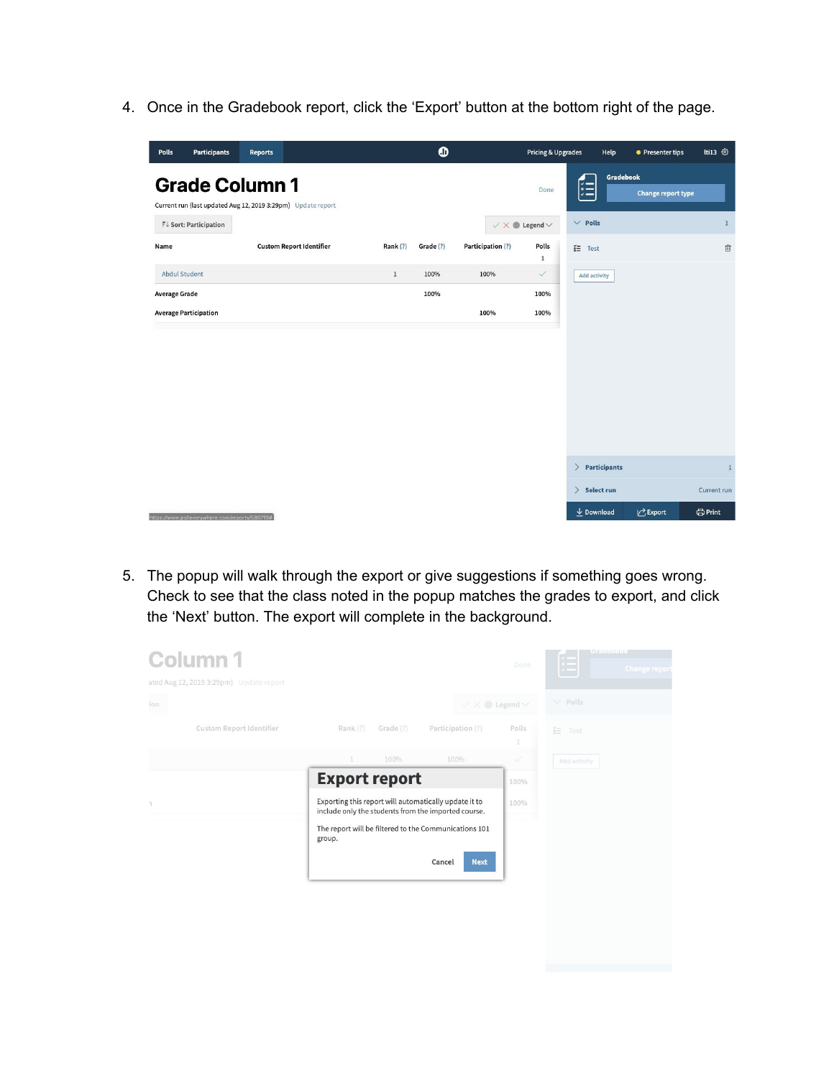4. Once in the Gradebook report, click the 'Export' button at the bottom right of the page.

| Polls                | <b>Participants</b>                            | <b>Reports</b>                                                                        |          | $\bullet$ |                   | <b>Pricing &amp; Upgrades</b>    |                                  | Help         | • Presenter tips          | <b>Iti13 ©</b>       |
|----------------------|------------------------------------------------|---------------------------------------------------------------------------------------|----------|-----------|-------------------|----------------------------------|----------------------------------|--------------|---------------------------|----------------------|
|                      |                                                | <b>Grade Column 1</b><br>Current run (last updated Aug 12, 2019 3:29pm) Update report |          |           |                   | Done                             | 阻                                | Gradebook    | <b>Change report type</b> |                      |
|                      | $\mathbb{T} \downarrow$ Sort: Participation    |                                                                                       |          |           |                   | $\vee$ X $\bullet$ Legend $\vee$ | $\vee$ Polls                     |              |                           | $1\,$                |
| Name                 |                                                | <b>Custom Report Identifier</b>                                                       | Rank (?) | Grade (?) | Participation (?) | Polls<br>$\mathbf 1$             | $i\equiv$ Test                   |              |                           | $\widehat{\boxplus}$ |
| <b>Abdul Student</b> |                                                |                                                                                       | $\,1$    | 100%      | 100%              | $\checkmark$                     | <b>Add activity</b>              |              |                           |                      |
| <b>Average Grade</b> |                                                |                                                                                       |          | 100%      |                   | 100%                             |                                  |              |                           |                      |
|                      | <b>Average Participation</b>                   |                                                                                       |          |           | 100%              | 100%                             |                                  |              |                           |                      |
|                      |                                                |                                                                                       |          |           |                   |                                  |                                  |              |                           |                      |
|                      |                                                |                                                                                       |          |           |                   |                                  | $\left\langle \right\rangle$     | Participants |                           | $1\,$                |
|                      |                                                |                                                                                       |          |           |                   |                                  | $\rightarrow$<br>Select run      |              |                           | Current run          |
|                      | https://www.polleverywhere.com/reports/589719# |                                                                                       |          |           |                   |                                  | $\overline{\mathbf{v}}$ Download |              | I Export                  | <b>OPrint</b>        |

5. The popup will walk through the export or give suggestions if something goes wrong. Check to see that the class noted in the popup matches the grades to export, and click the 'Next' button. The export will complete in the background.

| Column <sub>1</sub><br>ated Aug 12, 2019 3:29pm) Update report |                      |           |                                                                                                              | Done                   | <b>SECURITIES</b><br><b>Change repor</b> |
|----------------------------------------------------------------|----------------------|-----------|--------------------------------------------------------------------------------------------------------------|------------------------|------------------------------------------|
| ion                                                            |                      |           | $\mathcal{N} \times \mathbf{0}$ Legend $\mathcal{N}$                                                         |                        | $\vee$ Polls                             |
| Custom Report Identifier                                       | Rank (?)             | Grade (?) | Participation (?)                                                                                            | Polls<br>$\mathbbm{1}$ | 芒 Test                                   |
|                                                                | a.                   | 100%      | 100%                                                                                                         | Á                      | Add activity                             |
|                                                                | <b>Export report</b> |           |                                                                                                              | 100%                   |                                          |
| $\mathbb{R}$                                                   |                      |           | Exporting this report will automatically update it to<br>include only the students from the imported course. | 100%                   |                                          |
|                                                                | group.               |           | The report will be filtered to the Communications 101                                                        |                        |                                          |
|                                                                |                      |           | <b>Next</b><br>Cancel                                                                                        |                        |                                          |
|                                                                |                      |           |                                                                                                              |                        |                                          |
|                                                                |                      |           |                                                                                                              |                        |                                          |
|                                                                |                      |           |                                                                                                              |                        |                                          |